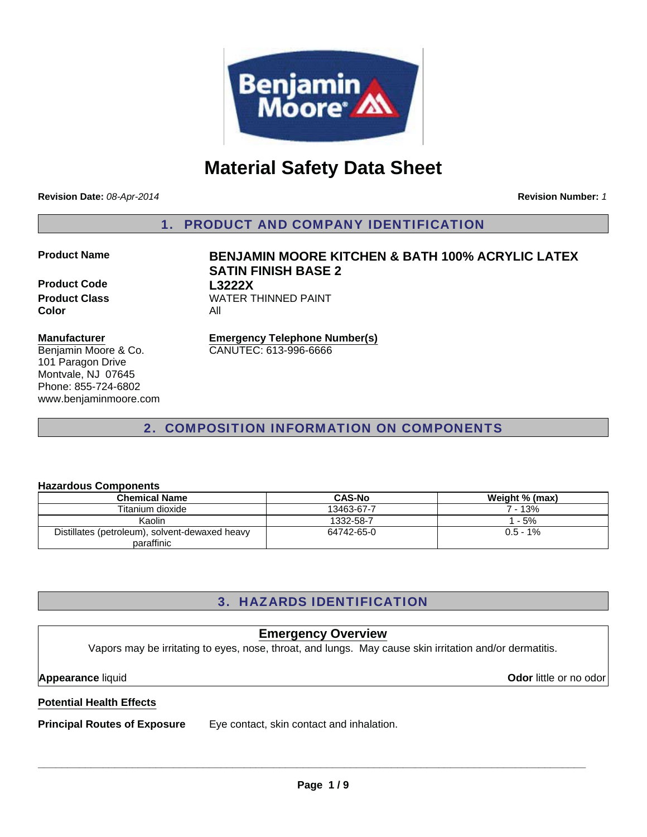

# **Material Safety Data Sheet**

**Revision Date:** *08-Apr-2014*

**Revision Number:** *1*

1. PRODUCT AND COMPANY IDENTIFICATION

### **Product Name BENJAMIN MOORE KITCHEN & BATH 100% ACRYLIC LATEX**

**Product Code L3222X Product Class WATER THINNED PAINT Color** All

## **Manufacturer**

Benjamin Moore & Co. 101 Paragon Drive Montvale, NJ 07645 Phone: 855-724-6802 www.benjaminmoore.com **Emergency Telephone Number(s)**

CANUTEC: 613-996-6666

**SATIN FINISH BASE 2**

## 2. COMPOSITION INFORMATION ON COMPONENTS

## **Hazardous Components**

| <b>Chemical Name</b>                           | <b>CAS-No</b> | Weight % (max) |
|------------------------------------------------|---------------|----------------|
| Titanium dioxide                               | 13463-67-7    | 7 - 13%        |
| Kaolin                                         | 1332-58-7     | $-5%$          |
| Distillates (petroleum), solvent-dewaxed heavy | 64742-65-0    | $0.5 - 1\%$    |
| paraffinic                                     |               |                |

## 3. HAZARDS IDENTIFICATION

## **Emergency Overview**

Vapors may be irritating to eyes, nose, throat, and lungs. May cause skin irritation and/or dermatitis.

**Appearance** liquid **Odor** little or no odor

## **Potential Health Effects**

**Principal Routes of Exposure** Eye contact, skin contact and inhalation.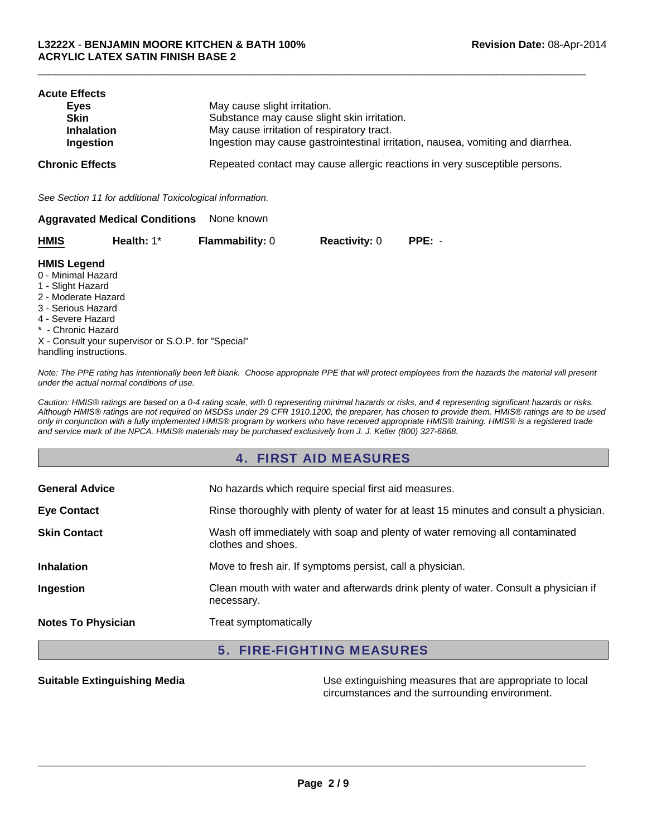| <b>Acute Effects</b><br>Eyes<br><b>Skin</b><br><b>Inhalation</b><br>Ingestion | May cause slight irritation.<br>Substance may cause slight skin irritation.<br>May cause irritation of respiratory tract.<br>Ingestion may cause gastrointestinal irritation, nausea, vomiting and diarrhea. |
|-------------------------------------------------------------------------------|--------------------------------------------------------------------------------------------------------------------------------------------------------------------------------------------------------------|
| <b>Chronic Effects</b>                                                        | Repeated contact may cause allergic reactions in very susceptible persons.                                                                                                                                   |
| See Section 11 for additional Toxicological information.                      |                                                                                                                                                                                                              |
| <b>Aggravated Medical Conditions</b>                                          | None known                                                                                                                                                                                                   |

 $\Box$ 

| <b>HMIS</b> | Health: $1^*$ | <b>Flammability: 0</b> | <b>Reactivity: 0</b> | $PPE: -$ |
|-------------|---------------|------------------------|----------------------|----------|
|-------------|---------------|------------------------|----------------------|----------|

#### **HMIS Legend**

- 0 Minimal Hazard
- 1 Slight Hazard
- 2 Moderate Hazard
- 3 Serious Hazard
- 4 Severe Hazard
- \* Chronic Hazard

X - Consult your supervisor or S.O.P. for "Special" handling instructions.

*Note: The PPE rating has intentionally been left blank. Choose appropriate PPE that will protect employees from the hazards the material will present under the actual normal conditions of use.*

*Caution: HMIS® ratings are based on a 0-4 rating scale, with 0 representing minimal hazards or risks, and 4 representing significant hazards or risks. Although HMIS® ratings are not required on MSDSs under 29 CFR 1910.1200, the preparer, has chosen to provide them. HMIS® ratings are to be used only in conjunction with a fully implemented HMIS® program by workers who have received appropriate HMIS® training. HMIS® is a registered trade and service mark of the NPCA. HMIS® materials may be purchased exclusively from J. J. Keller (800) 327-6868.*

## 4. FIRST AID MEASURES

| <b>General Advice</b>     | No hazards which require special first aid measures.                                               |
|---------------------------|----------------------------------------------------------------------------------------------------|
| <b>Eye Contact</b>        | Rinse thoroughly with plenty of water for at least 15 minutes and consult a physician.             |
| <b>Skin Contact</b>       | Wash off immediately with soap and plenty of water removing all contaminated<br>clothes and shoes. |
| <b>Inhalation</b>         | Move to fresh air. If symptoms persist, call a physician.                                          |
| Ingestion                 | Clean mouth with water and afterwards drink plenty of water. Consult a physician if<br>necessary.  |
| <b>Notes To Physician</b> | Treat symptomatically                                                                              |

## 5. FIRE-FIGHTING MEASURES

**Suitable Extinguishing Media** Media **Network Clubse Extinguishing measures that are appropriate to local** circumstances and the surrounding environment.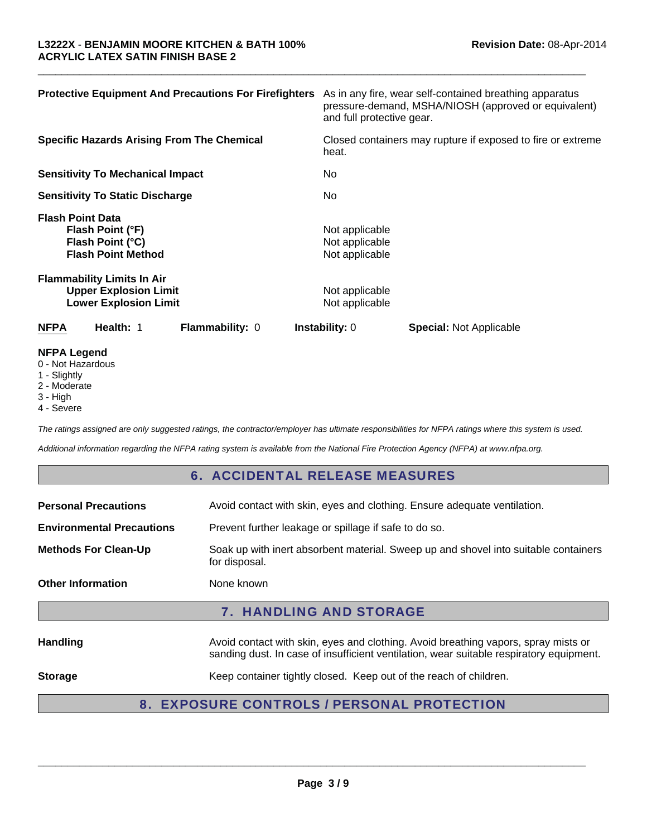| <b>Protective Equipment And Precautions For Firefighters</b>                                      |                                                    | As in any fire, wear self-contained breathing apparatus<br>pressure-demand, MSHA/NIOSH (approved or equivalent)<br>and full protective gear. |  |  |
|---------------------------------------------------------------------------------------------------|----------------------------------------------------|----------------------------------------------------------------------------------------------------------------------------------------------|--|--|
| <b>Specific Hazards Arising From The Chemical</b>                                                 | heat.                                              | Closed containers may rupture if exposed to fire or extreme                                                                                  |  |  |
| <b>Sensitivity To Mechanical Impact</b>                                                           | No.                                                |                                                                                                                                              |  |  |
| <b>Sensitivity To Static Discharge</b>                                                            | No.                                                |                                                                                                                                              |  |  |
| <b>Flash Point Data</b><br>Flash Point (°F)<br>Flash Point (°C)<br><b>Flash Point Method</b>      | Not applicable<br>Not applicable<br>Not applicable |                                                                                                                                              |  |  |
| <b>Flammability Limits In Air</b><br><b>Upper Explosion Limit</b><br><b>Lower Explosion Limit</b> | Not applicable<br>Not applicable                   |                                                                                                                                              |  |  |
| <b>NFPA</b><br>Health: 1<br>Flammability: 0                                                       | <b>Instability: 0</b>                              | <b>Special: Not Applicable</b>                                                                                                               |  |  |
| <b>NFPA Legend</b>                                                                                |                                                    |                                                                                                                                              |  |  |

 $\Box$ 

- 0 Not Hazardous
- 1 Slightly
- 2 Moderate
- 3 High
- 4 Severe

*The ratings assigned are only suggested ratings, the contractor/employer has ultimate responsibilities for NFPA ratings where this system is used.*

*Additional information regarding the NFPA rating system is available from the National Fire Protection Agency (NFPA) at www.nfpa.org.*

## 6. ACCIDENTAL RELEASE MEASURES

| <b>Personal Precautions</b>      | Avoid contact with skin, eyes and clothing. Ensure adequate ventilation.                                                                                                      |  |
|----------------------------------|-------------------------------------------------------------------------------------------------------------------------------------------------------------------------------|--|
| <b>Environmental Precautions</b> | Prevent further leakage or spillage if safe to do so.                                                                                                                         |  |
| <b>Methods For Clean-Up</b>      | Soak up with inert absorbent material. Sweep up and shovel into suitable containers<br>for disposal.                                                                          |  |
| <b>Other Information</b>         | None known                                                                                                                                                                    |  |
| <b>7. HANDLING AND STORAGE</b>   |                                                                                                                                                                               |  |
| <b>Handling</b>                  | Avoid contact with skin, eyes and clothing. Avoid breathing vapors, spray mists or<br>sanding dust. In case of insufficient ventilation, wear suitable respiratory equipment. |  |
| <b>Storage</b>                   | Keep container tightly closed. Keep out of the reach of children.                                                                                                             |  |
| 8.                               | <b>EXPOSURE CONTROLS / PERSONAL PROTECTION</b>                                                                                                                                |  |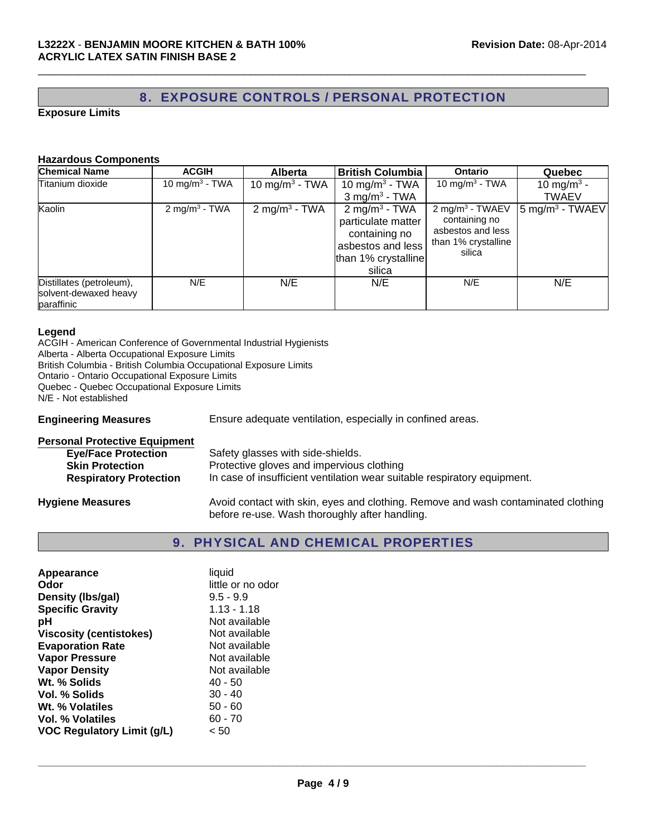## 8. EXPOSURE CONTROLS / PERSONAL PROTECTION

 $\Box$ 

#### **Exposure Limits**

#### **Hazardous Components**

| <b>Chemical Name</b>                                            | <b>ACGIH</b>               | <b>Alberta</b>             | <b>British Columbia</b>                                                                                                | <b>Ontario</b>                                                                                     | <b>Quebec</b>                        |
|-----------------------------------------------------------------|----------------------------|----------------------------|------------------------------------------------------------------------------------------------------------------------|----------------------------------------------------------------------------------------------------|--------------------------------------|
| Titanium dioxide                                                | 10 mg/m <sup>3</sup> - TWA | 10 mg/m <sup>3</sup> - TWA | 10 mg/m <sup>3</sup> - TWA                                                                                             | 10 mg/m <sup>3</sup> - TWA                                                                         | 10 mg/m <sup>3</sup> -               |
|                                                                 |                            |                            | $3$ mg/m <sup>3</sup> - TWA                                                                                            |                                                                                                    | <b>TWAEV</b>                         |
| Kaolin                                                          | 2 mg/m <sup>3</sup> - TWA  | $2 \text{ mg/m}^3$ - TWA   | 2 mg/m <sup>3</sup> - TWA<br>particulate matter<br>containing no<br>asbestos and less<br>than 1% crystalline<br>silica | 2 mg/m <sup>3</sup> - TWAEV<br>containing no<br>asbestos and less<br>than 1% crystalline<br>silica | $\sqrt{5}$ mg/m <sup>3</sup> - TWAEV |
| Distillates (petroleum),<br>solvent-dewaxed heavy<br>paraffinic | N/E                        | N/E                        | N/E                                                                                                                    | N/E                                                                                                | N/E                                  |

#### **Legend**

ACGIH - American Conference of Governmental Industrial Hygienists Alberta - Alberta Occupational Exposure Limits British Columbia - British Columbia Occupational Exposure Limits Ontario - Ontario Occupational Exposure Limits Quebec - Quebec Occupational Exposure Limits N/E - Not established

**Engineering Measures** Ensure adequate ventilation, especially in confined areas.

| <b>Personal Protective Equipment</b> |                                                                                                                                     |
|--------------------------------------|-------------------------------------------------------------------------------------------------------------------------------------|
| <b>Eye/Face Protection</b>           | Safety glasses with side-shields.                                                                                                   |
| <b>Skin Protection</b>               | Protective gloves and impervious clothing                                                                                           |
| <b>Respiratory Protection</b>        | In case of insufficient ventilation wear suitable respiratory equipment.                                                            |
| <b>Hygiene Measures</b>              | Avoid contact with skin, eyes and clothing. Remove and wash contaminated clothing<br>before re-use. Wash thoroughly after handling. |

## 9. PHYSICAL AND CHEMICAL PROPERTIES

| Appearance                        | liquid            |
|-----------------------------------|-------------------|
| Odor                              | little or no odor |
| Density (Ibs/gal)                 | $9.5 - 9.9$       |
| <b>Specific Gravity</b>           | $1.13 - 1.18$     |
| рH                                | Not available     |
| <b>Viscosity (centistokes)</b>    | Not available     |
| <b>Evaporation Rate</b>           | Not available     |
| <b>Vapor Pressure</b>             | Not available     |
| <b>Vapor Density</b>              | Not available     |
| Wt. % Solids                      | $40 - 50$         |
| Vol. % Solids                     | $30 - 40$         |
| Wt. % Volatiles                   | $50 - 60$         |
| <b>Vol. % Volatiles</b>           | $60 - 70$         |
| <b>VOC Regulatory Limit (g/L)</b> | < 50              |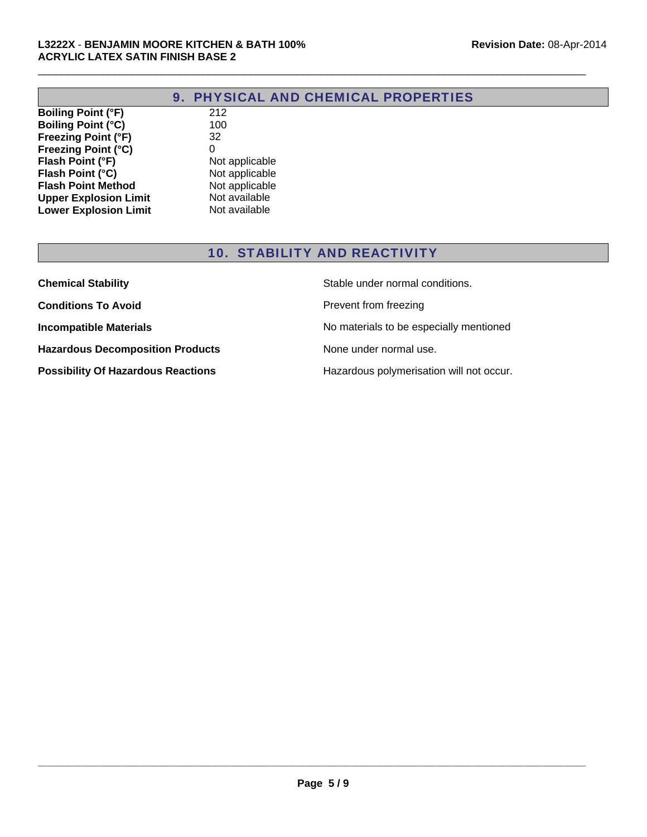$\Box$ 

**Boiling Point (°F)** 212<br> **Boiling Point (°C)** 100 **Boiling Point (°C) Freezing Point (°F)** 32<br>**Freezing Point (°C)** 0 **Freezing Point (°C)** 0<br> **Flash Point (°F)** Not applicable<br> **Flash Point (°C)** Not applicable **Flash Point (°F) Flash Point (°C)** Not applicable **Flash Point Method** Not applicable **Upper Explosion Limit** Not available<br> **Lower Explosion Limit** Not available **Lower Explosion Limit** 

## 10. STABILITY AND REACTIVITY

| <b>Chemical Stability</b>                 | Stable under normal conditions.          |
|-------------------------------------------|------------------------------------------|
| <b>Conditions To Avoid</b>                | Prevent from freezing                    |
| <b>Incompatible Materials</b>             | No materials to be especially mentioned  |
| <b>Hazardous Decomposition Products</b>   | None under normal use.                   |
| <b>Possibility Of Hazardous Reactions</b> | Hazardous polymerisation will not occur. |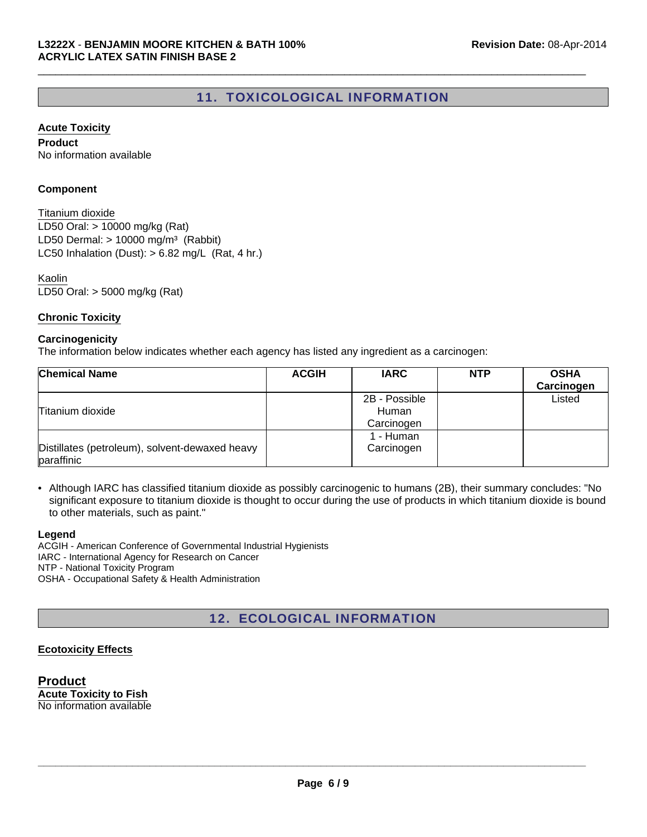## 11. TOXICOLOGICAL INFORMATION

 $\Box$ 

#### **Acute Toxicity**

**Product** No information available

#### **Component**

LD50 Oral: > 10000 mg/kg (Rat) LD50 Dermal:  $> 10000$  mg/m<sup>3</sup> (Rabbit) Titanium dioxide LC50 Inhalation (Dust):  $> 6.82$  mg/L (Rat, 4 hr.)

LD50 Oral: > 5000 mg/kg (Rat) Kaolin

#### **Chronic Toxicity**

#### **Carcinogenicity**

The information below indicates whether each agency has listed any ingredient as a carcinogen:

| <b>Chemical Name</b>                                         | <b>ACGIH</b> | <b>IARC</b>                          | <b>NTP</b> | <b>OSHA</b><br>Carcinogen |
|--------------------------------------------------------------|--------------|--------------------------------------|------------|---------------------------|
| Titanium dioxide                                             |              | 2B - Possible<br>Human<br>Carcinogen |            | Listed                    |
| Distillates (petroleum), solvent-dewaxed heavy<br>paraffinic |              | 1 - Human<br>Carcinogen              |            |                           |

• Although IARC has classified titanium dioxide as possibly carcinogenic to humans (2B), their summary concludes: "No significant exposure to titanium dioxide is thought to occur during the use of products in which titanium dioxide is bound to other materials, such as paint."

#### **Legend**

ACGIH - American Conference of Governmental Industrial Hygienists IARC - International Agency for Research on Cancer NTP - National Toxicity Program OSHA - Occupational Safety & Health Administration

## 12. ECOLOGICAL INFORMATION

### **Ecotoxicity Effects**

**Product Acute Toxicity to Fish** No information available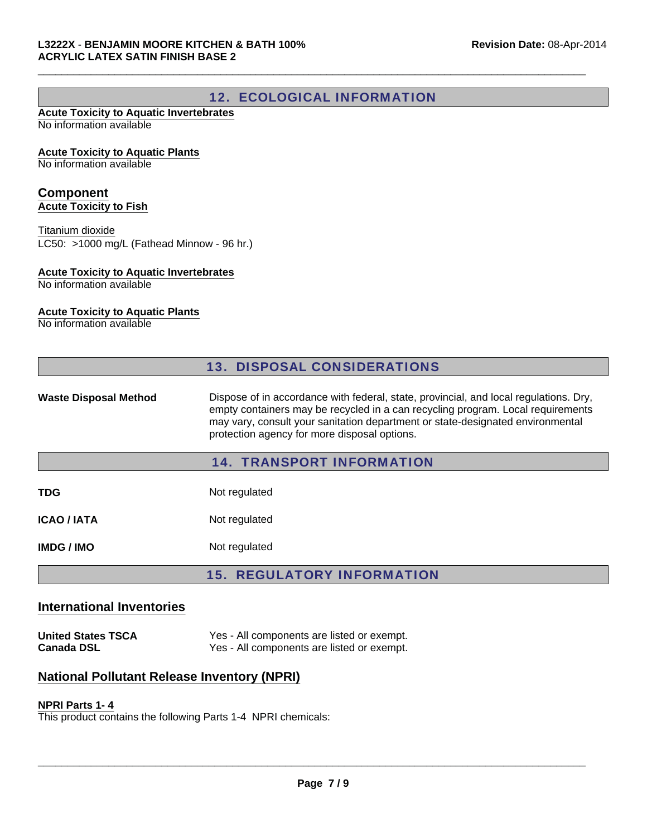## 12. ECOLOGICAL INFORMATION

 $\Box$ 

#### **Acute Toxicity to Aquatic Invertebrates** No information available

#### **Acute Toxicity to Aquatic Plants**

No information available

#### **Component Acute Toxicity to Fish**

LC50: >1000 mg/L (Fathead Minnow - 96 hr.) Titanium dioxide

#### **Acute Toxicity to Aquatic Invertebrates**

No information available

### **Acute Toxicity to Aquatic Plants**

No information available

|                              | <b>13. DISPOSAL CONSIDERATIONS</b>                                                                                                                                                                                                                                                                         |
|------------------------------|------------------------------------------------------------------------------------------------------------------------------------------------------------------------------------------------------------------------------------------------------------------------------------------------------------|
| <b>Waste Disposal Method</b> | Dispose of in accordance with federal, state, provincial, and local regulations. Dry,<br>empty containers may be recycled in a can recycling program. Local requirements<br>may vary, consult your sanitation department or state-designated environmental<br>protection agency for more disposal options. |
|                              | <b>14. TRANSPORT INFORMATION</b>                                                                                                                                                                                                                                                                           |
| TDG                          | Not regulated                                                                                                                                                                                                                                                                                              |
| <b>ICAO / IATA</b>           | Not regulated                                                                                                                                                                                                                                                                                              |
| <b>IMDG/IMO</b>              | Not regulated                                                                                                                                                                                                                                                                                              |
|                              | <b>15. REGULATORY INFORMATION</b>                                                                                                                                                                                                                                                                          |

### **International Inventories**

**United States TSCA** Yes - All components are listed or exempt.<br>Canada DSL Yes - All components are listed or exempt. Yes - All components are listed or exempt.

## **National Pollutant Release Inventory (NPRI)**

#### **NPRI Parts 1- 4**

This product contains the following Parts 1-4 NPRI chemicals: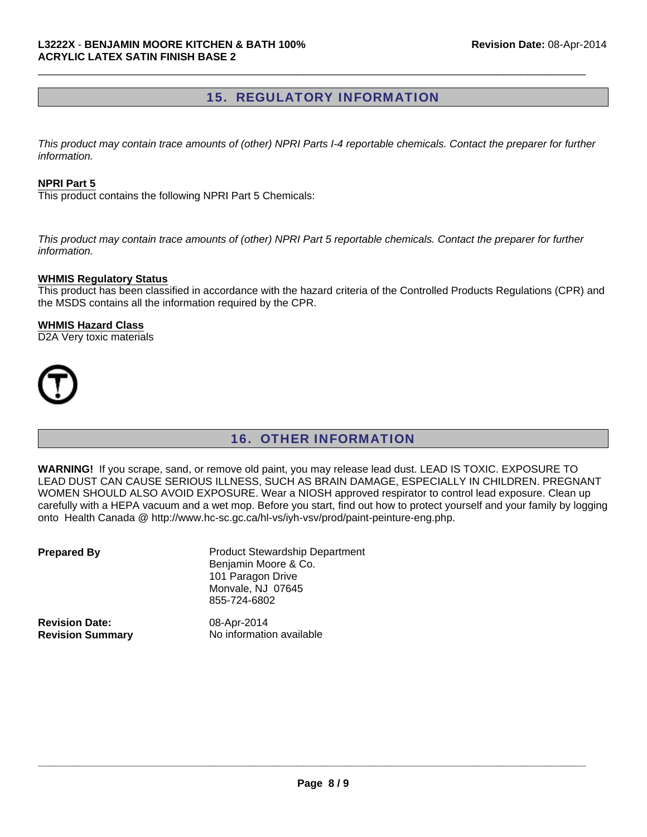## 15. REGULATORY INFORMATION

 $\Box$ 

*This product may contain trace amounts of (other) NPRI Parts I-4 reportable chemicals. Contact the preparer for further information.*

#### **NPRI Part 5**

This product contains the following NPRI Part 5 Chemicals:

*This product may contain trace amounts of (other) NPRI Part 5 reportable chemicals. Contact the preparer for further information.*

#### **WHMIS Regulatory Status**

This product has been classified in accordance with the hazard criteria of the Controlled Products Regulations (CPR) and the MSDS contains all the information required by the CPR.

#### **WHMIS Hazard Class**

D2A Very toxic materials



## 16. OTHER INFORMATION

**WARNING!** If you scrape, sand, or remove old paint, you may release lead dust. LEAD IS TOXIC. EXPOSURE TO LEAD DUST CAN CAUSE SERIOUS ILLNESS, SUCH AS BRAIN DAMAGE, ESPECIALLY IN CHILDREN. PREGNANT WOMEN SHOULD ALSO AVOID EXPOSURE. Wear a NIOSH approved respirator to control lead exposure. Clean up carefully with a HEPA vacuum and a wet mop. Before you start, find out how to protect yourself and your family by logging onto Health Canada @ http://www.hc-sc.gc.ca/hl-vs/iyh-vsv/prod/paint-peinture-eng.php.

| <b>Prepared By</b>      | <b>Product Stewardship Department</b><br>Benjamin Moore & Co.<br>101 Paragon Drive<br>Monvale, NJ 07645<br>855-724-6802 |
|-------------------------|-------------------------------------------------------------------------------------------------------------------------|
| <b>Revision Date:</b>   | 08-Apr-2014                                                                                                             |
| <b>Revision Summary</b> | No information available                                                                                                |